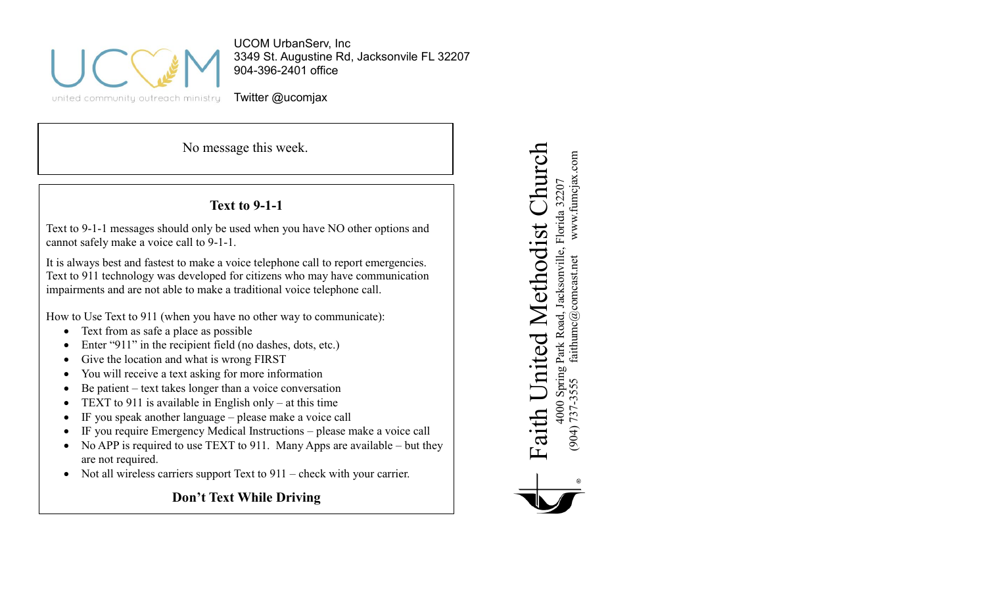

UCOM UrbanServ, Inc 3349 St. Augustine Rd, Jacksonvile FL 32207 904-396-2401 office

Twitter @ucomjax

No message this week.

# **Text to 9-1-1**

Text to 9-1-1 messages should only be used when you have NO other options and cannot safely make a voice call to 9-1-1.

It is always best and fastest to make a voice telephone call to report emergencies. Text to 911 technology was developed for citizens who may have communication impairments and are not able to make a traditional voice telephone call.

How to Use Text to 911 (when you have no other way to communicate):

- Text from as safe a place as possible
- Enter "911" in the recipient field (no dashes, dots, etc.)
- Give the location and what is wrong FIRST
- You will receive a text asking for more information
- Be patient text takes longer than a voice conversation
- TEXT to 911 is available in English only at this time
- IF you speak another language please make a voice call
- IF you require Emergency Medical Instructions please make a voice call
- No APP is required to use TEXT to 911. Many Apps are available but they are not required.
- Not all wireless carriers support Text to 911 check with your carrier.

**Don't Text While Driving**

Faith United Methodist Church Church www.fumcjax.com (904) 737-3555 faithumc@comcast.net www.fumcjax.com 4000 Spring Park Road, Jacksonville, Florida 32207<br>(904) 737-3555 faithumc@comeast.net www.fumcjax 4000 Spring Park Road, Jacksonville, Florida 32207 Methodist Faith United